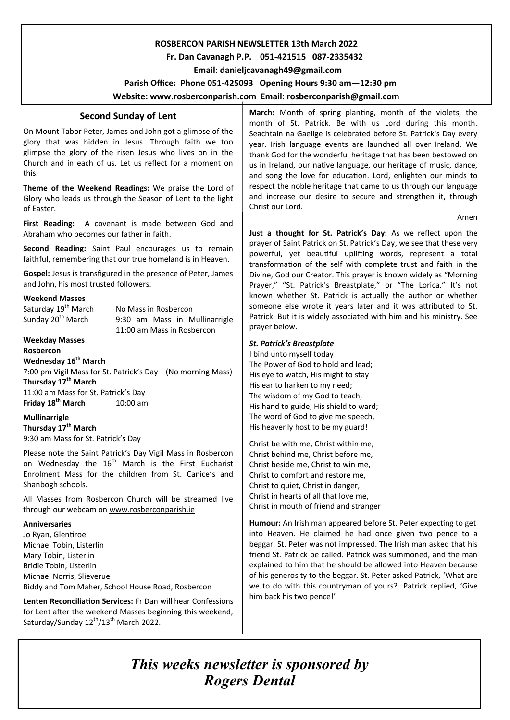# **ROSBERCON PARISH NEWSLETTER 13th March 2022**

# **Fr. Dan Cavanagh P.P. 051-421515 087-2335432**

 **Email: danieljcavanagh49@gmail.com**

 **Parish Office: Phone 051-425093****Opening Hours 9:30 am—12:30 pm** 

**Website: www.rosberconparish.com Email: rosberconparish@gmail.com**

# **Second Sunday of Lent**

On Mount Tabor Peter, James and John got a glimpse of the glory that was hidden in Jesus. Through faith we too glimpse the glory of the risen Jesus who lives on in the Church and in each of us. Let us reflect for a moment on this.

**Theme of the Weekend Readings:** We praise the Lord of Glory who leads us through the Season of Lent to the light of Easter.

**First Reading:** A covenant is made between God and Abraham who becomes our father in faith.

**Second Reading:** Saint Paul encourages us to remain faithful, remembering that our true homeland is in Heaven.

**Gospel:** Jesus is transfigured in the presence of Peter, James and John, his most trusted followers.

# **Weekend Masses**

Saturday 19<sup>th</sup> March No Mass in Rosbercon Sunday 20<sup>th</sup> March 9:30 am Mass in Mullinarrigle 11:00 am Mass in Rosbercon

#### **Weekday Masses Rosbercon**

**Wednesday 16th March**

7:00 pm Vigil Mass for St. Patrick's Day—(No morning Mass) **Thursday 17th March** 11:00 am Mass for St. Patrick's Day **Friday 18<sup>th</sup> March** 10:00 am

## **Mullinarrigle**

**Thursday 17th March** 9:30 am Mass for St. Patrick's Day

Please note the Saint Patrick's Day Vigil Mass in Rosbercon on Wednesday the  $16<sup>th</sup>$  March is the First Eucharist Enrolment Mass for the children from St. Canice's and Shanbogh schools.

All Masses from Rosbercon Church will be streamed live through our webcam on [www.rosberconparish.ie](http://www.rosberconparish.ie/)

### **Anniversaries**

Jo Ryan, Glentiroe Michael Tobin, Listerlin Mary Tobin, Listerlin Bridie Tobin, Listerlin Michael Norris, Slieverue Biddy and Tom Maher, School House Road, Rosbercon

**Lenten Reconciliation Services:** Fr Dan will hear Confessions for Lent after the weekend Masses beginning this weekend, Saturday/Sunday  $12^{th}/13^{th}$  March 2022.

**March:** Month of spring planting, month of the violets, the month of St. Patrick. Be with us Lord during this month. Seachtain na Gaeilge is celebrated before St. Patrick's Day every year. Irish language events are launched all over Ireland. We thank God for the wonderful heritage that has been bestowed on us in Ireland, our native language, our heritage of music, dance, and song the love for education. Lord, enlighten our minds to respect the noble heritage that came to us through our language and increase our desire to secure and strengthen it, through Christ our Lord.

Amen

**Just a thought for St. Patrick's Day:** As we reflect upon the prayer of Saint Patrick on St. Patrick's Day, we see that these very powerful, yet beautiful uplifting words, represent a total transformation of the self with complete trust and faith in the Divine, God our Creator. This prayer is known widely as "Morning Prayer," "St. Patrick's Breastplate," or "The Lorica." It's not known whether St. Patrick is actually the author or whether someone else wrote it years later and it was attributed to St. Patrick. But it is widely associated with him and his ministry. See prayer below.

## *St. Patrick's Breastplate*

I bind unto myself today The Power of God to hold and lead; His eye to watch, His might to stay His ear to harken to my need; The wisdom of my God to teach, His hand to guide, His shield to ward; The word of God to give me speech, His heavenly host to be my guard!

Christ be with me, Christ within me, Christ behind me, Christ before me, Christ beside me, Christ to win me, Christ to comfort and restore me, Christ to quiet, Christ in danger, Christ in hearts of all that love me, Christ in mouth of friend and stranger

**Humour:** An Irish man appeared before St. Peter expecting to get into Heaven. He claimed he had once given two pence to a beggar. St. Peter was not impressed. The Irish man asked that his friend St. Patrick be called. Patrick was summoned, and the man explained to him that he should be allowed into Heaven because of his generosity to the beggar. St. Peter asked Patrick, 'What are we to do with this countryman of yours? Patrick replied, 'Give him back his two pence!'

# *This weeks newsletter is sponsored by Rogers Dental*